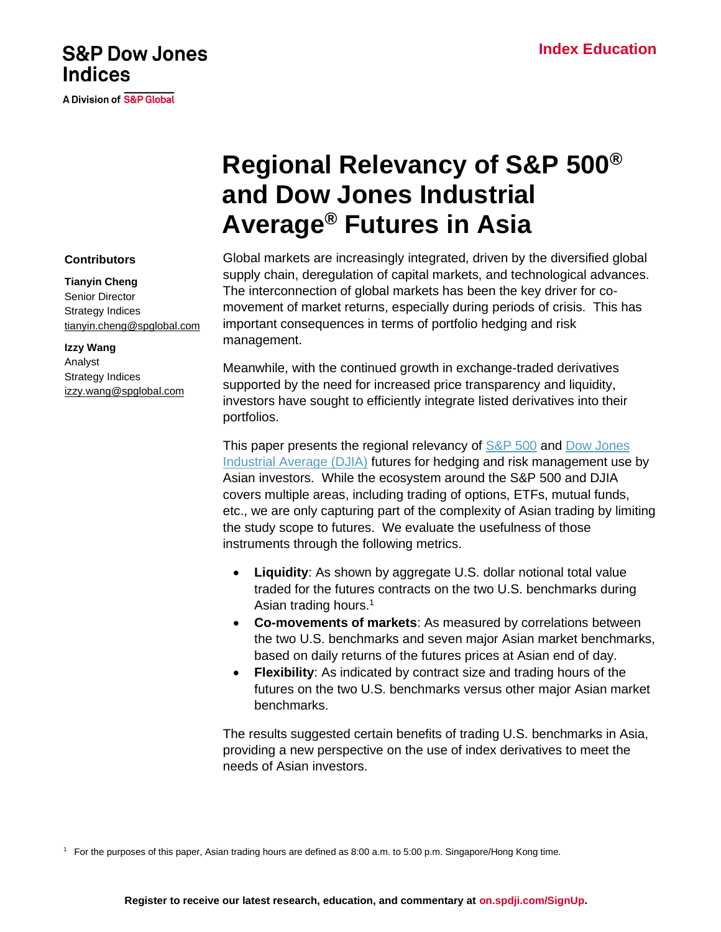# **S&P Dow Jones Indices**

A Division of S&P Global

# **Regional Relevancy of S&P 500® and Dow Jones Industrial Average® Futures in Asia**

Global markets are increasingly integrated, driven by the diversified global supply chain, deregulation of capital markets, and technological advances. The interconnection of global markets has been the key driver for comovement of market returns, especially during periods of crisis. This has important consequences in terms of portfolio hedging and risk management.

Meanwhile, with the continued growth in exchange-traded derivatives supported by the need for increased price transparency and liquidity, investors have sought to efficiently integrate listed derivatives into their portfolios.

This paper presents the regional relevancy of **S&P 500** and Dow Jones [Industrial Average](https://www.spglobal.com/spdji/en/indices/equity/dow-jones-industrial-average/?utm_source=pdf_education) (DJIA) futures for hedging and risk management use by Asian investors. While the ecosystem around the S&P 500 and DJIA covers multiple areas, including trading of options, ETFs, mutual funds, etc., we are only capturing part of the complexity of Asian trading by limiting the study scope to futures. We evaluate the usefulness of those instruments through the following metrics.

- **Liquidity**: As shown by aggregate U.S. dollar notional total value traded for the futures contracts on the two U.S. benchmarks during Asian trading hours.<sup>1</sup>
- **Co-movements of markets**: As measured by correlations between the two U.S. benchmarks and seven major Asian market benchmarks, based on daily returns of the futures prices at Asian end of day.
- **Flexibility**: As indicated by contract size and trading hours of the futures on the two U.S. benchmarks versus other major Asian market benchmarks.

The results suggested certain benefits of trading U.S. benchmarks in Asia, providing a new perspective on the use of index derivatives to meet the needs of Asian investors.

Senior Director Strategy Indices

**Contributors**

**Tianyin Cheng**

**Izzy Wang** Analyst Strategy Indices [izzy.wang@spglobal.com](mailto:izzy.wang@spglobal.com)

[tianyin.cheng@spglobal.com](mailto:tianyin.cheng@spglobal.com)

<sup>1</sup> For the purposes of this paper, Asian trading hours are defined as 8:00 a.m. to 5:00 p.m. Singapore/Hong Kong time.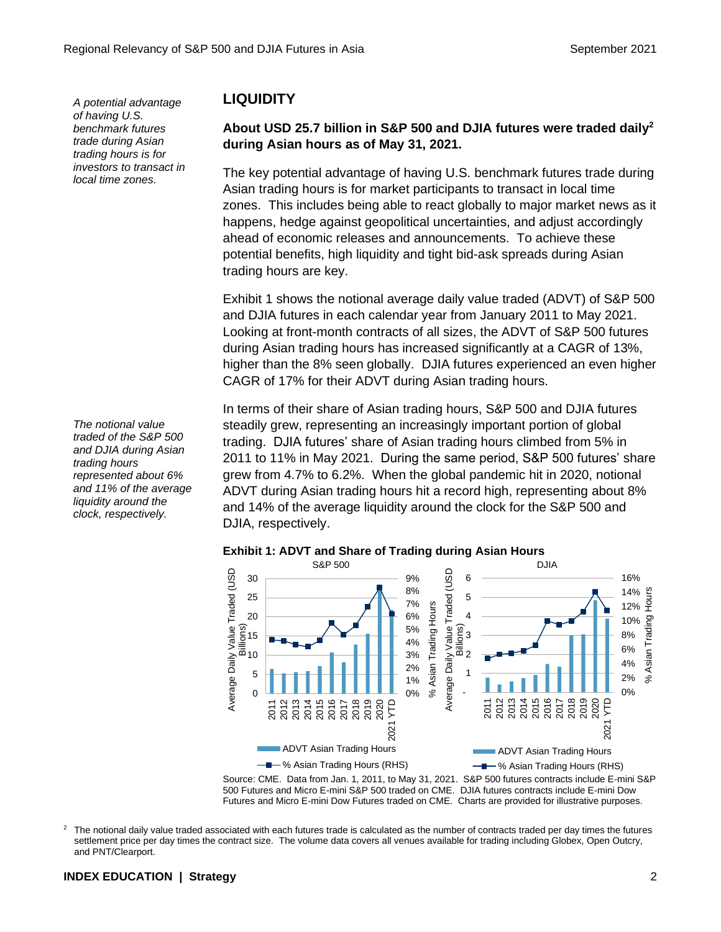*A potential advantage of having U.S. benchmark futures trade during Asian trading hours is for investors to transact in local time zones.*

*The notional value traded of the S&P 500 and DJIA during Asian trading hours represented about 6% and 11% of the average liquidity around the clock, respectively.*

## **LIQUIDITY**

#### **About USD 25.7 billion in S&P 500 and DJIA futures were traded daily<sup>2</sup> during Asian hours as of May 31, 2021.**

The key potential advantage of having U.S. benchmark futures trade during Asian trading hours is for market participants to transact in local time zones. This includes being able to react globally to major market news as it happens, hedge against geopolitical uncertainties, and adjust accordingly ahead of economic releases and announcements. To achieve these potential benefits, high liquidity and tight bid-ask spreads during Asian trading hours are key.

Exhibit 1 shows the notional average daily value traded (ADVT) of S&P 500 and DJIA futures in each calendar year from January 2011 to May 2021. Looking at front-month contracts of all sizes, the ADVT of S&P 500 futures during Asian trading hours has increased significantly at a CAGR of 13%, higher than the 8% seen globally. DJIA futures experienced an even higher CAGR of 17% for their ADVT during Asian trading hours.

In terms of their share of Asian trading hours, S&P 500 and DJIA futures steadily grew, representing an increasingly important portion of global trading. DJIA futures' share of Asian trading hours climbed from 5% in 2011 to 11% in May 2021. During the same period, S&P 500 futures' share grew from 4.7% to 6.2%. When the global pandemic hit in 2020, notional ADVT during Asian trading hours hit a record high, representing about 8% and 14% of the average liquidity around the clock for the S&P 500 and DJIA, respectively.



#### **Exhibit 1: ADVT and Share of Trading during Asian Hours**

Source: CME. Data from Jan. 1, 2011, to May 31, 2021. S&P 500 futures contracts include E-mini S&P 500 Futures and Micro E-mini S&P 500 traded on CME. DJIA futures contracts include E-mini Dow Futures and Micro E-mini Dow Futures traded on CME. Charts are provided for illustrative purposes.

 $2$  The notional daily value traded associated with each futures trade is calculated as the number of contracts traded per day times the futures settlement price per day times the contract size. The volume data covers all venues available for trading including Globex, Open Outcry, and PNT/Clearport.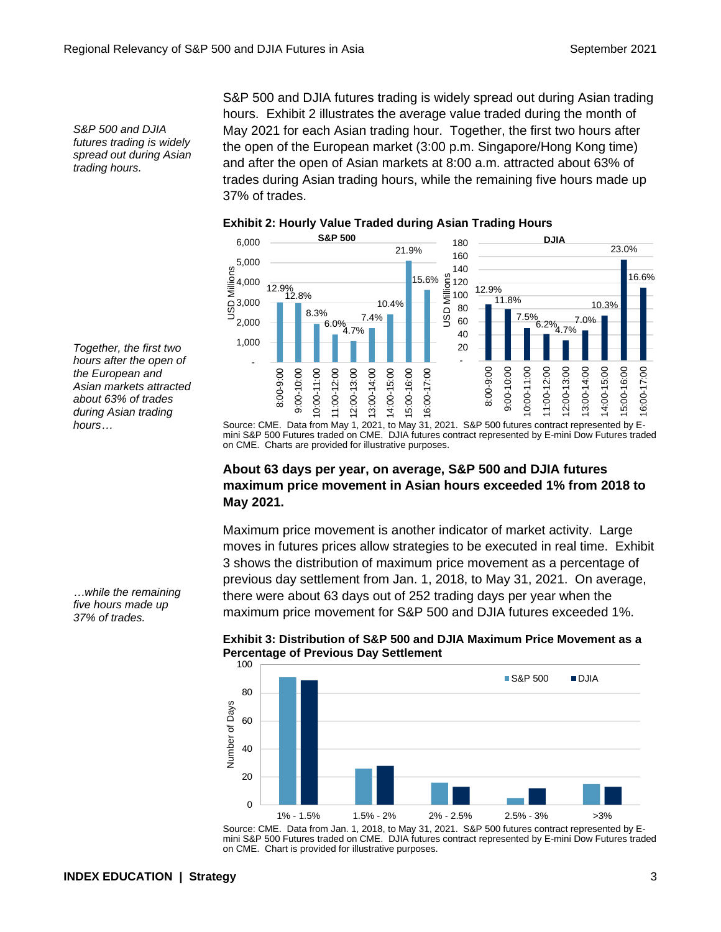*S&P 500 and DJIA futures trading is widely spread out during Asian trading hours.*

S&P 500 and DJIA futures trading is widely spread out during Asian trading hours. Exhibit 2 illustrates the average value traded during the month of May 2021 for each Asian trading hour. Together, the first two hours after the open of the European market (3:00 p.m. Singapore/Hong Kong time) and after the open of Asian markets at 8:00 a.m. attracted about 63% of trades during Asian trading hours, while the remaining five hours made up 37% of trades.



#### **Exhibit 2: Hourly Value Traded during Asian Trading Hours**

Source: CME. Data from May 1, 2021, to May 31, 2021. S&P 500 futures contract represented by Emini S&P 500 Futures traded on CME. DJIA futures contract represented by E-mini Dow Futures traded on CME. Charts are provided for illustrative purposes.

#### **About 63 days per year, on average, S&P 500 and DJIA futures maximum price movement in Asian hours exceeded 1% from 2018 to May 2021.**

Maximum price movement is another indicator of market activity. Large moves in futures prices allow strategies to be executed in real time. Exhibit 3 shows the distribution of maximum price movement as a percentage of previous day settlement from Jan. 1, 2018, to May 31, 2021. On average, there were about 63 days out of 252 trading days per year when the maximum price movement for S&P 500 and DJIA futures exceeded 1%.



**Exhibit 3: Distribution of S&P 500 and DJIA Maximum Price Movement as a Percentage of Previous Day Settlement**

Source: CME. Data from Jan. 1, 2018, to May 31, 2021. S&P 500 futures contract represented by Emini S&P 500 Futures traded on CME. DJIA futures contract represented by E-mini Dow Futures traded on CME. Chart is provided for illustrative purposes.

*Together, the first two hours after the open of the European and Asian markets attracted about 63% of trades during Asian trading hours…*

*…while the remaining five hours made up 37% of trades.*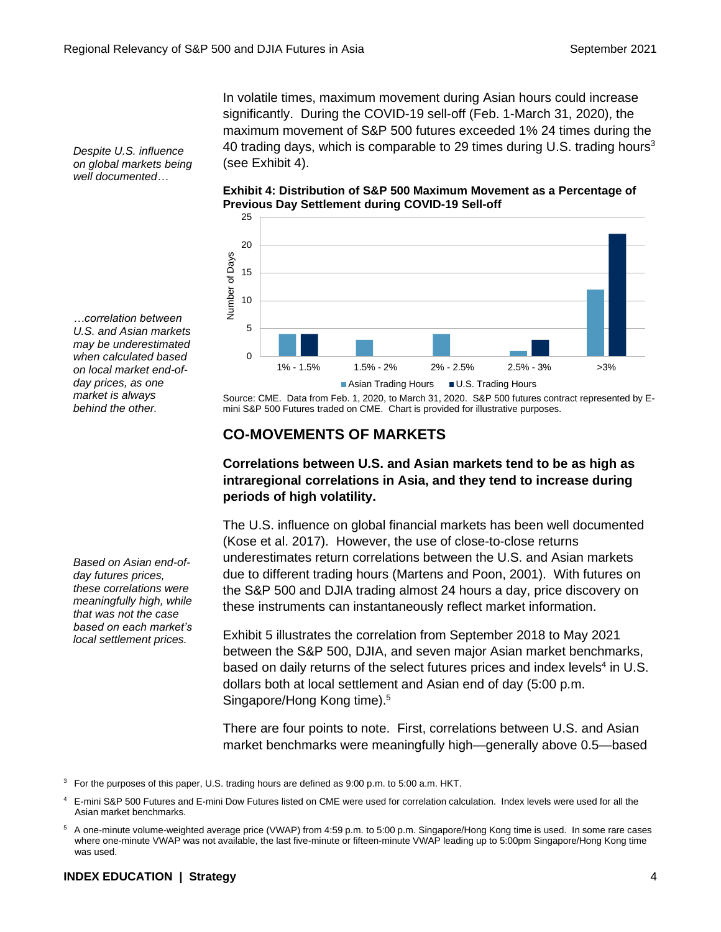In volatile times, maximum movement during Asian hours could increase significantly. During the COVID-19 sell-off (Feb. 1-March 31, 2020), the maximum movement of S&P 500 futures exceeded 1% 24 times during the 40 trading days, which is comparable to 29 times during U.S. trading hours<sup>3</sup> (see Exhibit 4).

**Exhibit 4: Distribution of S&P 500 Maximum Movement as a Percentage of Previous Day Settlement during COVID-19 Sell-off**



Source: CME. Data from Feb. 1, 2020, to March 31, 2020. S&P 500 futures contract represented by Emini S&P 500 Futures traded on CME. Chart is provided for illustrative purposes.

# **CO-MOVEMENTS OF MARKETS**

#### **Correlations between U.S. and Asian markets tend to be as high as intraregional correlations in Asia, and they tend to increase during periods of high volatility.**

The U.S. influence on global financial markets has been well documented (Kose et al. 2017). However, the use of close-to-close returns underestimates return correlations between the U.S. and Asian markets due to different trading hours (Martens and Poon, 2001). With futures on the S&P 500 and DJIA trading almost 24 hours a day, price discovery on these instruments can instantaneously reflect market information.

Exhibit 5 illustrates the correlation from September 2018 to May 2021 between the S&P 500, DJIA, and seven major Asian market benchmarks, based on daily returns of the select futures prices and index levels<sup>4</sup> in U.S. dollars both at local settlement and Asian end of day (5:00 p.m. Singapore/Hong Kong time). 5

There are four points to note. First, correlations between U.S. and Asian market benchmarks were meaningfully high—generally above 0.5—based

*Despite U.S. influence on global markets being well documented…*

*…correlation between U.S. and Asian markets may be underestimated when calculated based on local market end-ofday prices, as one market is always behind the other.*

*Based on Asian end-ofday futures prices, these correlations were meaningfully high, while that was not the case based on each market's local settlement prices.*

<sup>&</sup>lt;sup>3</sup> For the purposes of this paper, U.S. trading hours are defined as 9:00 p.m. to 5:00 a.m. HKT.

<sup>4</sup> E-mini S&P 500 Futures and E-mini Dow Futures listed on CME were used for correlation calculation. Index levels were used for all the Asian market benchmarks.

<sup>5</sup> A one-minute volume-weighted average price (VWAP) from 4:59 p.m. to 5:00 p.m. Singapore/Hong Kong time is used. In some rare cases where one-minute VWAP was not available, the last five-minute or fifteen-minute VWAP leading up to 5:00pm Singapore/Hong Kong time was used.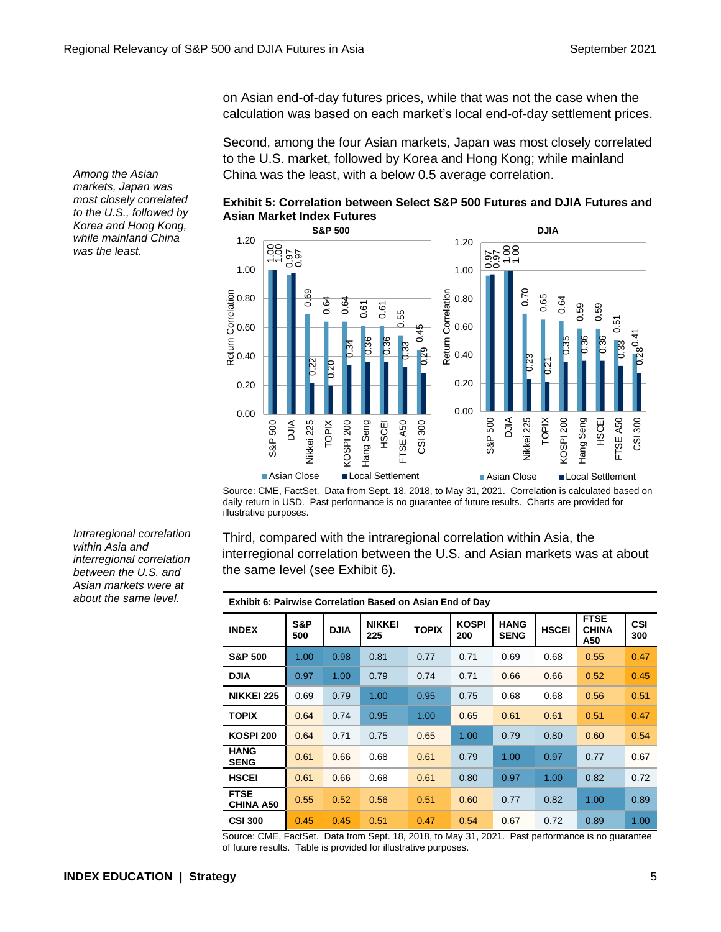on Asian end-of-day futures prices, while that was not the case when the calculation was based on each market's local end-of-day settlement prices.

Second, among the four Asian markets, Japan was most closely correlated to the U.S. market, followed by Korea and Hong Kong; while mainland China was the least, with a below 0.5 average correlation.





Source: CME, FactSet. Data from Sept. 18, 2018, to May 31, 2021. Correlation is calculated based on daily return in USD. Past performance is no guarantee of future results. Charts are provided for illustrative purposes.

Third, compared with the intraregional correlation within Asia, the interregional correlation between the U.S. and Asian markets was at about the same level (see Exhibit 6).

| <b>Exhibit 6: Pairwise Correlation Based on Asian End of Day</b> |            |             |                      |              |                     |                            |              |                                    |                   |
|------------------------------------------------------------------|------------|-------------|----------------------|--------------|---------------------|----------------------------|--------------|------------------------------------|-------------------|
| <b>INDEX</b>                                                     | S&P<br>500 | <b>DJIA</b> | <b>NIKKEI</b><br>225 | <b>TOPIX</b> | <b>KOSPI</b><br>200 | <b>HANG</b><br><b>SENG</b> | <b>HSCEI</b> | <b>FTSE</b><br><b>CHINA</b><br>A50 | <b>CSI</b><br>300 |
| <b>S&amp;P 500</b>                                               | 1.00       | 0.98        | 0.81                 | 0.77         | 0.71                | 0.69                       | 0.68         | 0.55                               | 0.47              |
| <b>DJIA</b>                                                      | 0.97       | 1.00        | 0.79                 | 0.74         | 0.71                | 0.66                       | 0.66         | 0.52                               | 0.45              |
| <b>NIKKEI 225</b>                                                | 0.69       | 0.79        | 1.00                 | 0.95         | 0.75                | 0.68                       | 0.68         | 0.56                               | 0.51              |
| <b>TOPIX</b>                                                     | 0.64       | 0.74        | 0.95                 | 1.00         | 0.65                | 0.61                       | 0.61         | 0.51                               | 0.47              |
| <b>KOSPI 200</b>                                                 | 0.64       | 0.71        | 0.75                 | 0.65         | 1.00                | 0.79                       | 0.80         | 0.60                               | 0.54              |
| <b>HANG</b><br><b>SENG</b>                                       | 0.61       | 0.66        | 0.68                 | 0.61         | 0.79                | 1.00                       | 0.97         | 0.77                               | 0.67              |
| <b>HSCEI</b>                                                     | 0.61       | 0.66        | 0.68                 | 0.61         | 0.80                | 0.97                       | 1.00         | 0.82                               | 0.72              |
| <b>FTSE</b><br><b>CHINA A50</b>                                  | 0.55       | 0.52        | 0.56                 | 0.51         | 0.60                | 0.77                       | 0.82         | 1.00                               | 0.89              |
| <b>CSI 300</b>                                                   | 0.45       | 0.45        | 0.51                 | 0.47         | 0.54                | 0.67                       | 0.72         | 0.89                               | 1.00              |

Source: CME, FactSet. Data from Sept. 18, 2018, to May 31, 2021. Past performance is no guarantee

*Among the Asian markets, Japan was most closely correlated to the U.S., followed by Korea and Hong Kong, while mainland China was the least.*

*Intraregional correlation within Asia and interregional correlation between the U.S. and Asian markets were at about the same level.*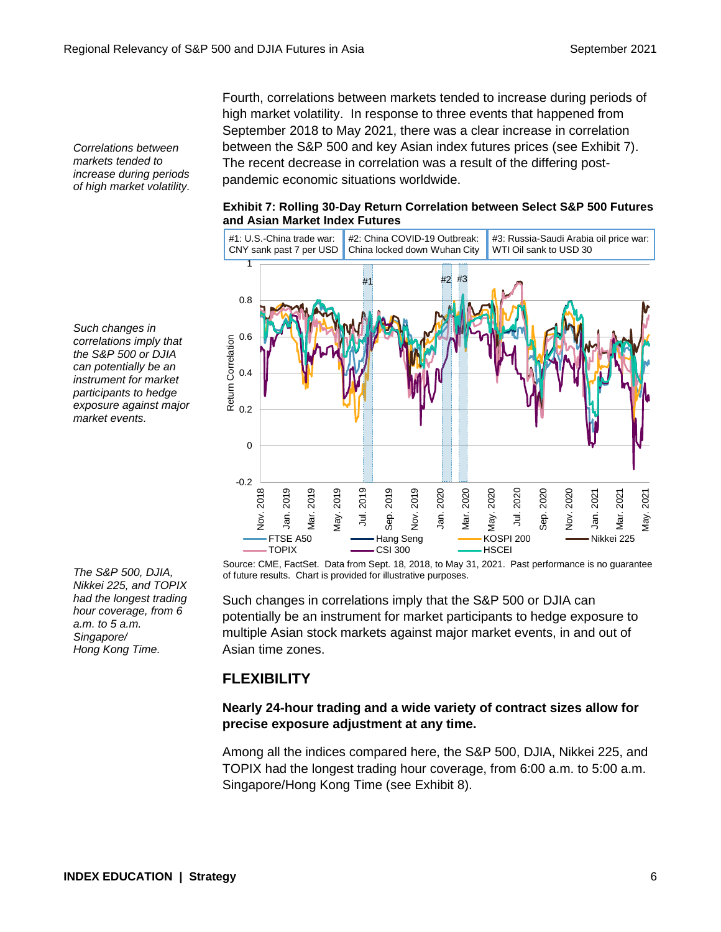*Correlations between markets tended to increase during periods of high market volatility.*

*Such changes in correlations imply that the S&P 500 or DJIA can potentially be an instrument for market participants to hedge exposure against major market events.*

*The S&P 500, DJIA, Nikkei 225, and TOPIX had the longest trading hour coverage, from 6 a.m. to 5 a.m. Singapore/ Hong Kong Time.*

Fourth, correlations between markets tended to increase during periods of high market volatility. In response to three events that happened from September 2018 to May 2021, there was a clear increase in correlation between the S&P 500 and key Asian index futures prices (see Exhibit 7). The recent decrease in correlation was a result of the differing postpandemic economic situations worldwide.

#### **Exhibit 7: Rolling 30-Day Return Correlation between Select S&P 500 Futures and Asian Market Index Futures**



Source: CME, FactSet. Data from Sept. 18, 2018, to May 31, 2021. Past performance is no guarantee of future results. Chart is provided for illustrative purposes.

Such changes in correlations imply that the S&P 500 or DJIA can potentially be an instrument for market participants to hedge exposure to multiple Asian stock markets against major market events, in and out of Asian time zones.

### **FLEXIBILITY**

#### **Nearly 24-hour trading and a wide variety of contract sizes allow for precise exposure adjustment at any time.**

Among all the indices compared here, the S&P 500, DJIA, Nikkei 225, and TOPIX had the longest trading hour coverage, from 6:00 a.m. to 5:00 a.m. Singapore/Hong Kong Time (see Exhibit 8).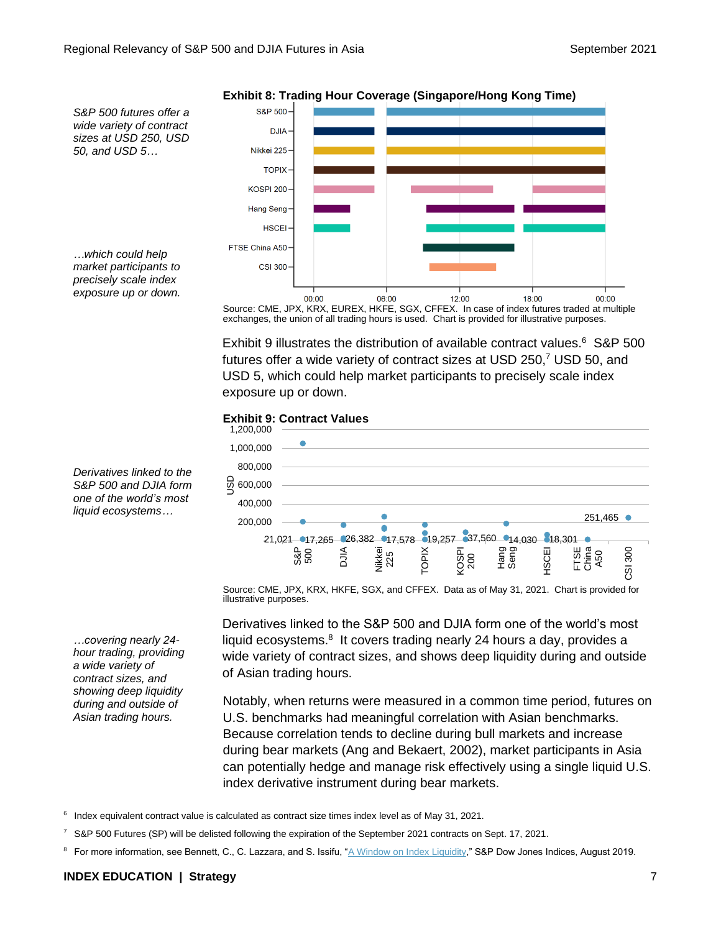

**Exhibit 8: Trading Hour Coverage (Singapore/Hong Kong Time)**

Source: CME, JPX, KRX, EUREX, HKFE, SGX, CFFEX. In case of index futures traded at multiple exchanges, the union of all trading hours is used. Chart is provided for illustrative purposes.

Exhibit 9 illustrates the distribution of available contract values. <sup>6</sup> S&P 500 futures offer a wide variety of contract sizes at USD 250,<sup>7</sup> USD 50, and USD 5, which could help market participants to precisely scale index exposure up or down.

#### **Exhibit 9: Contract Values**



Source: CME, JPX, KRX, HKFE, SGX, and CFFEX. Data as of May 31, 2021. Chart is provided for illustrative purposes.

Derivatives linked to the S&P 500 and DJIA form one of the world's most liquid ecosystems.<sup>8</sup> It covers trading nearly 24 hours a day, provides a wide variety of contract sizes, and shows deep liquidity during and outside of Asian trading hours.

Notably, when returns were measured in a common time period, futures on U.S. benchmarks had meaningful correlation with Asian benchmarks. Because correlation tends to decline during bull markets and increase during bear markets (Ang and Bekaert, 2002), market participants in Asia can potentially hedge and manage risk effectively using a single liquid U.S. index derivative instrument during bear markets.

<sup>6</sup> Index equivalent contract value is calculated as contract size times index level as of May 31, 2021.

- <sup>7</sup> S&P 500 Futures (SP) will be delisted following the expiration of the September 2021 contracts on Sept. 17, 2021.
- 8 For more information, see Bennett, C., C. Lazzara, and S. Issifu, ["A Window on Index Liquidity,](https://spglobal.com/spdji/en/research/article/a-window-on-index-liquidity-volumes-linked-to-sp-dji-indices/?utm_source=pdf_education)" S&P Dow Jones Indices, August 2019.

*Derivatives linked to the S&P 500 and DJIA form one of the world's most liquid ecosystems…*

*…covering nearly 24 hour trading, providing a wide variety of contract sizes, and showing deep liquidity during and outside of Asian trading hours.*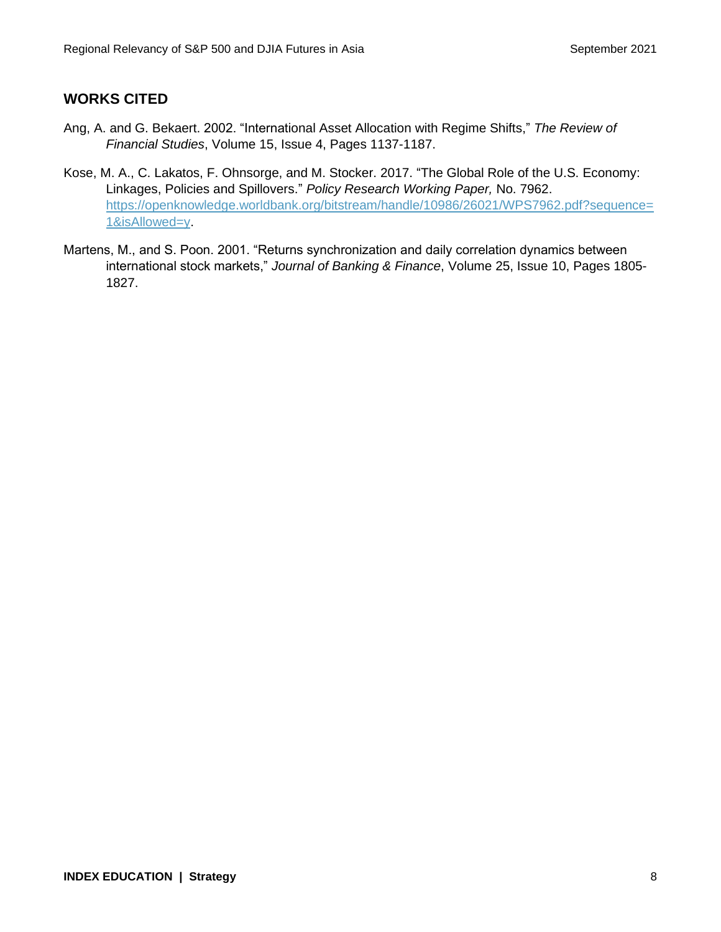# **WORKS CITED**

- Ang, A. and G. Bekaert. 2002. "International Asset Allocation with Regime Shifts," *The Review of Financial Studies*, Volume 15, Issue 4, Pages 1137-1187.
- Kose, M. A., C. Lakatos, F. Ohnsorge, and M. Stocker. 2017. "The Global Role of the U.S. Economy: Linkages, Policies and Spillovers." *Policy Research Working Paper,* No. 7962. [https://openknowledge.worldbank.org/bitstream/handle/10986/26021/WPS7962.pdf?sequence=](https://openknowledge.worldbank.org/bitstream/handle/10986/26021/WPS7962.pdf?sequence=1&isAllowed=y) [1&isAllowed=y.](https://openknowledge.worldbank.org/bitstream/handle/10986/26021/WPS7962.pdf?sequence=1&isAllowed=y)
- Martens, M., and S. Poon. 2001. "Returns synchronization and daily correlation dynamics between international stock markets," *Journal of Banking & Finance*, Volume 25, Issue 10, Pages 1805- 1827.